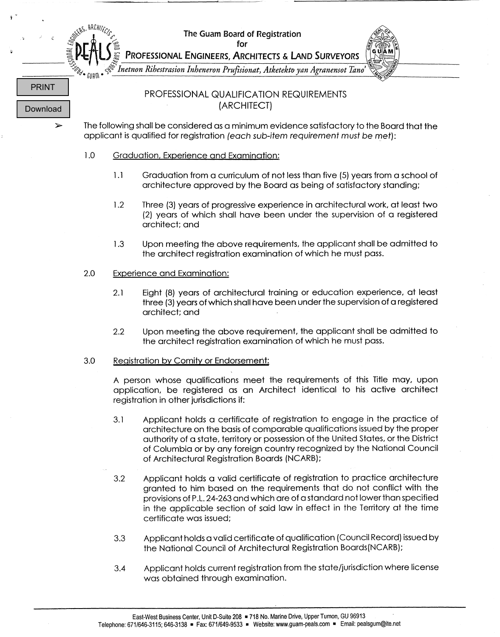*were* the Guam Board of Registration<br>
⇒ The Guam Board of Registration<br>
for

Ŷ

 $\bar{\zeta}$ 



|                          |                                                                                                                                                                                |                                                                                                                                                                                                        | Inetnon Rihestrasion Inheneron Prufisionat, Atketekto yan Agranensot Tano'                                                                                                                                                                                                                                                                                                    |  |
|--------------------------|--------------------------------------------------------------------------------------------------------------------------------------------------------------------------------|--------------------------------------------------------------------------------------------------------------------------------------------------------------------------------------------------------|-------------------------------------------------------------------------------------------------------------------------------------------------------------------------------------------------------------------------------------------------------------------------------------------------------------------------------------------------------------------------------|--|
| <b>PRINT</b><br>Download |                                                                                                                                                                                |                                                                                                                                                                                                        | PROFESSIONAL QUALIFICATION REQUIREMENTS<br>(ARCHITECT)                                                                                                                                                                                                                                                                                                                        |  |
| ➤                        | The following shall be considered as a minimum evidence satisfactory to the Board that the<br>applicant is qualified for registration (each sub-item requirement must be met): |                                                                                                                                                                                                        |                                                                                                                                                                                                                                                                                                                                                                               |  |
|                          | 1.0                                                                                                                                                                            | Graduation, Experience and Examination:                                                                                                                                                                |                                                                                                                                                                                                                                                                                                                                                                               |  |
|                          |                                                                                                                                                                                | 1.1                                                                                                                                                                                                    | Graduation from a curriculum of not less than five (5) years from a school of<br>architecture approved by the Board as being of satisfactory standing;                                                                                                                                                                                                                        |  |
|                          |                                                                                                                                                                                | 1.2                                                                                                                                                                                                    | Three (3) years of progressive experience in architectural work, at least two<br>(2) years of which shall have been under the supervision of a registered<br>architect; and                                                                                                                                                                                                   |  |
|                          |                                                                                                                                                                                | 1.3                                                                                                                                                                                                    | Upon meeting the above requirements, the applicant shall be admitted to<br>the architect registration examination of which he must pass.                                                                                                                                                                                                                                      |  |
|                          | 2.0                                                                                                                                                                            | <b>Experience and Examination:</b>                                                                                                                                                                     |                                                                                                                                                                                                                                                                                                                                                                               |  |
|                          |                                                                                                                                                                                | 2.1                                                                                                                                                                                                    | Eight (8) years of architectural training or education experience, at least<br>three (3) years of which shall have been under the supervision of a registered<br>architect; and                                                                                                                                                                                               |  |
|                          |                                                                                                                                                                                | 2.2                                                                                                                                                                                                    | Upon meeting the above requirement, the applicant shall be admitted to<br>the architect registration examination of which he must pass.                                                                                                                                                                                                                                       |  |
|                          | 3.0                                                                                                                                                                            | Registration by Comity or Endorsement:                                                                                                                                                                 |                                                                                                                                                                                                                                                                                                                                                                               |  |
|                          |                                                                                                                                                                                | A person whose qualifications meet the requirements of this Title may, upon<br>application, be registered as an Architect identical to his active architect<br>registration in other jurisdictions if: |                                                                                                                                                                                                                                                                                                                                                                               |  |
|                          |                                                                                                                                                                                | 3.1                                                                                                                                                                                                    | Applicant holds a certificate of registration to engage in the practice of<br>architecture on the basis of comparable qualifications issued by the proper<br>authority of a state, territory or possession of the United States, or the District<br>of Columbia or by any foreign country recognized by the National Council<br>of Architectural Registration Boards (NCARB); |  |
|                          |                                                                                                                                                                                | 3.2                                                                                                                                                                                                    | Applicant holds a valid certificate of registration to practice architecture<br>granted to him based on the requirements that do not conflict with the<br>provisions of P.L. 24-263 and which are of a standard not lower than specified<br>in the applicable section of said law in effect in the Territory at the time<br>certificate was issued;                           |  |
|                          |                                                                                                                                                                                | 3.3                                                                                                                                                                                                    | Applicant holds a valid certificate of qualification (Council Record) issued by<br>the National Council of Architectural Registration Boards(NCARB);                                                                                                                                                                                                                          |  |
|                          |                                                                                                                                                                                | 3.4                                                                                                                                                                                                    | Applicant holds current registration from the state/jurisdiction where license<br>was obtained through examination.                                                                                                                                                                                                                                                           |  |
|                          |                                                                                                                                                                                |                                                                                                                                                                                                        | East-West Business Center, Unit D-Suite 208 = 718 No. Marine Drive, Upper Tumon, GU 96913<br>Telephone: 671/646-3115; 646-3138 = Fax: 671/649-9533 = Website: www.guam-peals.com = Email: pealsgum@ite.net                                                                                                                                                                    |  |